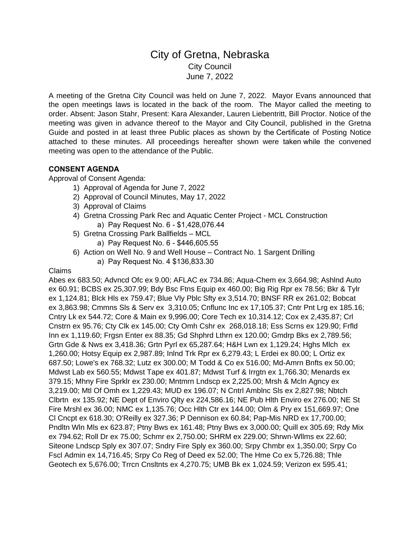# City of Gretna, Nebraska City Council June 7, 2022

A meeting of the Gretna City Council was held on June 7, 2022. Mayor Evans announced that the open meetings laws is located in the back of the room. The Mayor called the meeting to order. Absent: Jason Stahr, Present: Kara Alexander, Lauren Liebentritt, Bill Proctor. Notice of the meeting was given in advance thereof to the Mayor and City Council, published in the Gretna Guide and posted in at least three Public places as shown by the Certificate of Posting Notice attached to these minutes. All proceedings hereafter shown were taken while the convened meeting was open to the attendance of the Public.

## **CONSENT AGENDA**

Approval of Consent Agenda:

- 1) Approval of Agenda for June 7, 2022
- 2) Approval of Council Minutes, May 17, 2022
- 3) Approval of Claims
- 4) Gretna Crossing Park Rec and Aquatic Center Project MCL Construction a) Pay Request No. 6 - \$1,428,076.44
- 5) Gretna Crossing Park Ballfields MCL
	- a) Pay Request No. 6 \$446,605.55
- 6) Action on Well No. 9 and Well House Contract No. 1 Sargent Drilling
	- a) Pay Request No. 4 \$136,833.30

#### Claims

Abes ex 683.50; Advncd Ofc ex 9.00; AFLAC ex 734.86; Aqua-Chem ex 3,664.98; Ashlnd Auto ex 60.91; BCBS ex 25,307.99; Bdy Bsc Ftns Equip ex 460.00; Big Rig Rpr ex 78.56; Bkr & Tylr ex 1,124.81; Blck Hls ex 759.47; Blue Vly Pblc Sfty ex 3,514.70; BNSF RR ex 261.02; Bobcat ex 3,863.98; Cmmns Sls & Serv ex 3,310.05; Cnflunc Inc ex 17,105.37; Cntr Pnt Lrg ex 185.16; Cntry Lk ex 544.72; Core & Main ex 9,996.00; Core Tech ex 10,314.12; Cox ex 2,435.87; Crl Cnstrn ex 95.76; Cty Clk ex 145.00; Cty Omh Cshr ex 268,018.18; Ess Scrns ex 129.90; Frfld Inn ex 1,119.60; Frgsn Enter ex 88.35; Gd Shphrd Lthrn ex 120.00; Gmdrp Bks ex 2,789.56; Grtn Gde & Nws ex 3,418.36; Grtn Pyrl ex 65,287.64; H&H Lwn ex 1,129.24; Hghs Mlch ex 1,260.00; Hotsy Equip ex 2,987.89; Inlnd Trk Rpr ex 6,279.43; L Erdei ex 80.00; L Ortiz ex 687.50; Lowe's ex 768.32; Lutz ex 300.00; M Todd & Co ex 516.00; Md-Amrn Bnfts ex 50.00; Mdwst Lab ex 560.55; Mdwst Tape ex 401.87; Mdwst Turf & Irrgtn ex 1,766.30; Menards ex 379.15; Mhny Fire Sprklr ex 230.00; Mntmrn Lndscp ex 2,225.00; Mrsh & Mcln Agncy ex 3,219.00; Mtl Of Omh ex 1,229.43; MUD ex 196.07; N Cntrl Amblnc Sls ex 2,827.98; Nbtch Clbrtn ex 135.92; NE Dept of Enviro Qlty ex 224,586.16; NE Pub Hlth Enviro ex 276.00; NE St Fire Mrshl ex 36.00; NMC ex 1,135.76; Occ Hlth Ctr ex 144.00; Olm & Pry ex 151,669.97; One Cl Cncpt ex 618.30; O'Reilly ex 327.36; P Dennison ex 60.84; Pap-Mis NRD ex 17,700.00; Pndltn Wln Mls ex 623.87; Ptny Bws ex 161.48; Ptny Bws ex 3,000.00; Quill ex 305.69; Rdy Mix ex 794.62; Roll Dr ex 75.00; Schmr ex 2,750.00; SHRM ex 229.00; Shrwn-Wllms ex 22.60; Siteone Lndscp Sply ex 307.07; Sndry Fire Sply ex 360.00; Srpy Chmbr ex 1,350.00; Srpy Co Fscl Admin ex 14,716.45; Srpy Co Reg of Deed ex 52.00; The Hme Co ex 5,726.88; Thle Geotech ex 5,676.00; Trrcn Cnsltnts ex 4,270.75; UMB Bk ex 1,024.59; Verizon ex 595.41;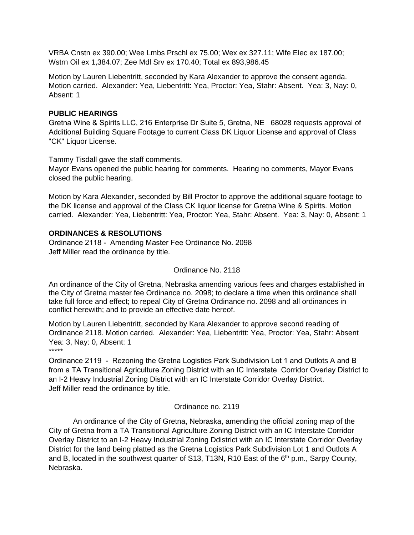VRBA Cnstn ex 390.00; Wee Lmbs Prschl ex 75.00; Wex ex 327.11; Wlfe Elec ex 187.00; Wstrn Oil ex 1,384.07; Zee Mdl Srv ex 170.40; Total ex 893,986.45

Motion by Lauren Liebentritt, seconded by Kara Alexander to approve the consent agenda. Motion carried. Alexander: Yea, Liebentritt: Yea, Proctor: Yea, Stahr: Absent. Yea: 3, Nay: 0, Absent: 1

# **PUBLIC HEARINGS**

Gretna Wine & Spirits LLC, 216 Enterprise Dr Suite 5, Gretna, NE 68028 requests approval of Additional Building Square Footage to current Class DK Liquor License and approval of Class "CK" Liquor License.

Tammy Tisdall gave the staff comments.

Mayor Evans opened the public hearing for comments. Hearing no comments, Mayor Evans closed the public hearing.

Motion by Kara Alexander, seconded by Bill Proctor to approve the additional square footage to the DK license and approval of the Class CK liquor license for Gretna Wine & Spirits. Motion carried. Alexander: Yea, Liebentritt: Yea, Proctor: Yea, Stahr: Absent. Yea: 3, Nay: 0, Absent: 1

## **ORDINANCES & RESOLUTIONS**

Ordinance 2118 - Amending Master Fee Ordinance No. 2098 Jeff Miller read the ordinance by title.

# Ordinance No. 2118

An ordinance of the City of Gretna, Nebraska amending various fees and charges established in the City of Gretna master fee Ordinance no. 2098; to declare a time when this ordinance shall take full force and effect; to repeal City of Gretna Ordinance no. 2098 and all ordinances in conflict herewith; and to provide an effective date hereof.

Motion by Lauren Liebentritt, seconded by Kara Alexander to approve second reading of Ordinance 2118. Motion carried. Alexander: Yea, Liebentritt: Yea, Proctor: Yea, Stahr: Absent Yea: 3, Nay: 0, Absent: 1

\*\*\*\*\*

Ordinance 2119 - Rezoning the Gretna Logistics Park Subdivision Lot 1 and Outlots A and B from a TA Transitional Agriculture Zoning District with an IC Interstate Corridor Overlay District to an I-2 Heavy Industrial Zoning District with an IC Interstate Corridor Overlay District. Jeff Miller read the ordinance by title.

#### Ordinance no. 2119

An ordinance of the City of Gretna, Nebraska, amending the official zoning map of the City of Gretna from a TA Transitional Agriculture Zoning District with an IC Interstate Corridor Overlay District to an I-2 Heavy Industrial Zoning Ddistrict with an IC Interstate Corridor Overlay District for the land being platted as the Gretna Logistics Park Subdivision Lot 1 and Outlots A and B, located in the southwest quarter of S13, T13N, R10 East of the 6<sup>th</sup> p.m., Sarpy County, Nebraska.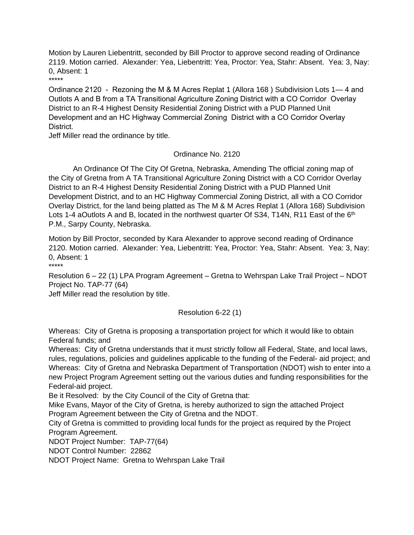Motion by Lauren Liebentritt, seconded by Bill Proctor to approve second reading of Ordinance 2119. Motion carried. Alexander: Yea, Liebentritt: Yea, Proctor: Yea, Stahr: Absent. Yea: 3, Nay: 0, Absent: 1

\*\*\*\*\*

Ordinance 2120 - Rezoning the M & M Acres Replat 1 (Allora 168 ) Subdivision Lots 1— 4 and Outlots A and B from a TA Transitional Agriculture Zoning District with a CO Corridor Overlay District to an R-4 Highest Density Residential Zoning District with a PUD Planned Unit Development and an HC Highway Commercial Zoning District with a CO Corridor Overlay District.

Jeff Miller read the ordinance by title.

## Ordinance No. 2120

An Ordinance Of The City Of Gretna, Nebraska, Amending The official zoning map of the City of Gretna from A TA Transitional Agriculture Zoning District with a CO Corridor Overlay District to an R-4 Highest Density Residential Zoning District with a PUD Planned Unit Development District, and to an HC Highway Commercial Zoning District, all with a CO Corridor Overlay District, for the land being platted as The M & M Acres Replat 1 (Allora 168) Subdivision Lots 1-4 aOutlots A and B, located in the northwest quarter Of S34, T14N, R11 East of the 6<sup>th</sup> P.M., Sarpy County, Nebraska.

Motion by Bill Proctor, seconded by Kara Alexander to approve second reading of Ordinance 2120. Motion carried. Alexander: Yea, Liebentritt: Yea, Proctor: Yea, Stahr: Absent. Yea: 3, Nay: 0, Absent: 1 \*\*\*\*\*

Resolution 6 – 22 (1) LPA Program Agreement – Gretna to Wehrspan Lake Trail Project – NDOT Project No. TAP-77 (64)

Jeff Miller read the resolution by title.

# Resolution 6-22 (1)

Whereas: City of Gretna is proposing a transportation project for which it would like to obtain Federal funds; and

Whereas: City of Gretna understands that it must strictly follow all Federal, State, and local laws, rules, regulations, policies and guidelines applicable to the funding of the Federal- aid project; and Whereas: City of Gretna and Nebraska Department of Transportation (NDOT) wish to enter into a new Project Program Agreement setting out the various duties and funding responsibilities for the Federal-aid project.

Be it Resolved: by the City Council of the City of Gretna that:

Mike Evans, Mayor of the City of Gretna, is hereby authorized to sign the attached Project Program Agreement between the City of Gretna and the NDOT.

City of Gretna is committed to providing local funds for the project as required by the Project Program Agreement.

NDOT Project Number: TAP-77(64)

NDOT Control Number: 22862

NDOT Project Name: Gretna to Wehrspan Lake Trail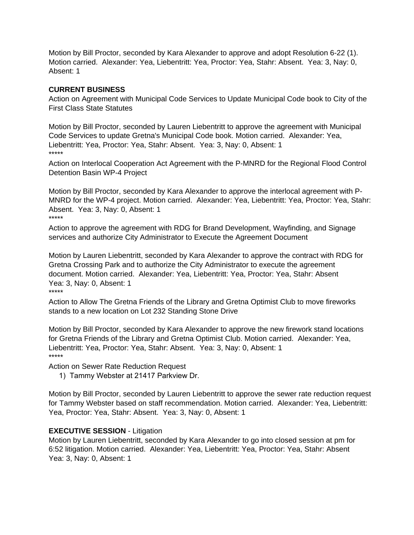Motion by Bill Proctor, seconded by Kara Alexander to approve and adopt Resolution 6-22 (1). Motion carried. Alexander: Yea, Liebentritt: Yea, Proctor: Yea, Stahr: Absent. Yea: 3, Nay: 0, Absent: 1

#### **CURRENT BUSINESS**

Action on Agreement with Municipal Code Services to Update Municipal Code book to City of the First Class State Statutes

Motion by Bill Proctor, seconded by Lauren Liebentritt to approve the agreement with Municipal Code Services to update Gretna's Municipal Code book. Motion carried. Alexander: Yea, Liebentritt: Yea, Proctor: Yea, Stahr: Absent. Yea: 3, Nay: 0, Absent: 1 \*\*\*\*\*

Action on Interlocal Cooperation Act Agreement with the P-MNRD for the Regional Flood Control Detention Basin WP-4 Project

Motion by Bill Proctor, seconded by Kara Alexander to approve the interlocal agreement with P-MNRD for the WP-4 project. Motion carried. Alexander: Yea, Liebentritt: Yea, Proctor: Yea, Stahr: Absent. Yea: 3, Nay: 0, Absent: 1 \*\*\*\*\*

Action to approve the agreement with RDG for Brand Development, Wayfinding, and Signage services and authorize City Administrator to Execute the Agreement Document

Motion by Lauren Liebentritt, seconded by Kara Alexander to approve the contract with RDG for Gretna Crossing Park and to authorize the City Administrator to execute the agreement document. Motion carried. Alexander: Yea, Liebentritt: Yea, Proctor: Yea, Stahr: Absent Yea: 3, Nay: 0, Absent: 1 \*\*\*\*\*

Action to Allow The Gretna Friends of the Library and Gretna Optimist Club to move fireworks stands to a new location on Lot 232 Standing Stone Drive

Motion by Bill Proctor, seconded by Kara Alexander to approve the new firework stand locations for Gretna Friends of the Library and Gretna Optimist Club. Motion carried. Alexander: Yea, Liebentritt: Yea, Proctor: Yea, Stahr: Absent. Yea: 3, Nay: 0, Absent: 1 \*\*\*\*\*

Action on Sewer Rate Reduction Request

1) Tammy Webster at 21417 Parkview Dr.

Motion by Bill Proctor, seconded by Lauren Liebentritt to approve the sewer rate reduction request for Tammy Webster based on staff recommendation. Motion carried. Alexander: Yea, Liebentritt: Yea, Proctor: Yea, Stahr: Absent. Yea: 3, Nay: 0, Absent: 1

#### **EXECUTIVE SESSION** - Litigation

Motion by Lauren Liebentritt, seconded by Kara Alexander to go into closed session at pm for 6:52 litigation. Motion carried. Alexander: Yea, Liebentritt: Yea, Proctor: Yea, Stahr: Absent Yea: 3, Nay: 0, Absent: 1